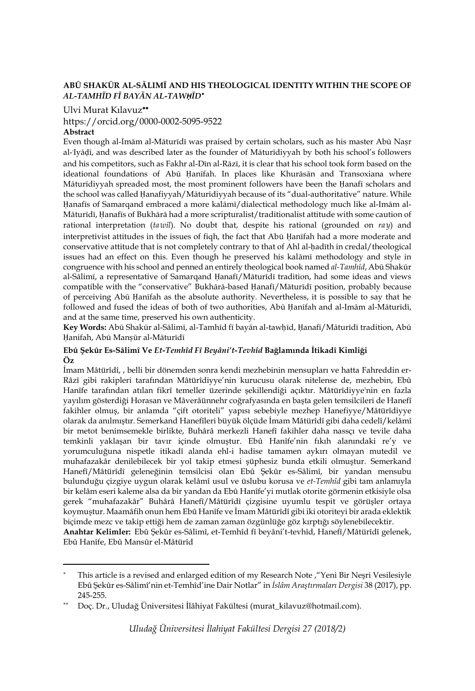### **ABŪ SHAKŪR AL-SĀLIMĪ AND HIS THEOLOGICAL IDENTITY WITHIN THE SCOPE OF**  *AL-TAMHĪD FĪ BAYĀN AL-TAWḤĪD*

#### Ulvi Murat Kılavuz

# https://orcid.org/0000-0002-5095-9522

## **Abstract**

 $\overline{\phantom{a}}$ 

Even though al-Imām al-Māturīdī was praised by certain scholars, such as his master Abū Naṣr al-Tyādī, and was described later as the founder of Māturīdiyyah by both his school's followers and his competitors, such as Fakhr al-Dīn al-Rāzī, it is clear that his school took form based on the ideational foundations of Abū Ḥanīfah. In places like Khurāsān and Transoxiana where Māturīdiyyah spreaded most, the most prominent followers have been the Ḥanafī scholars and the school was called Ḥanafiyyah/Māturīdiyyah because of its "dual-authoritative" nature. While Ḥanafīs of Samarqand embraced a more kalāmī/dialectical methodology much like al-Imām al-Māturīdī, Ḥanafīs of Bukhārā had a more scripturalist/traditionalist attitude with some caution of rational interpretation (*ta*ʾ*wīl*). No doubt that, despite his rational (grounded on *ra*ʾ*y*) and interpretivist attitudes in the issues of fiqh, the fact that Abū Ḥanīfah had a more moderate and conservative attitude that is not completely contrary to that of Ahl al-hadīth in credal/theological issues had an effect on this. Even though he preserved his kalāmī methodology and style in congruence with his school and penned an entirely theological book named *al-Tamhīd*, Abū Shakūr al-Sālimī, a representative of Samarqand Ḥanafī/Māturīdī tradition, had some ideas and views compatible with the "conservative" Bukhārā-based Ḥanafī/Māturīdī position, probably because of perceiving Abū Ḥanīfah as the absolute authority. Nevertheless, it is possible to say that he followed and fused the ideas of both of two authorities, Abū Ḥanīfah and al-Imām al-Māturīdī, and at the same time, preserved his own authenticity.

**Key Words:** Abū Shakūr al-Sālimī, al-Tamhīd fī bayān al-tawḥīd, Ḥanafī/Māturīdī tradition, Abū Ḥanifah, Abū Manṣūr al-Māturīdī

#### **Ebû Şekûr Es-Sâlimî Ve** *Et-Temhîd Fî Beyâni't-Tevhîd* **Bağlamında İtikadî Kimliği Öz**

İmam Mâtürîdî, , belli bir dönemden sonra kendi mezhebinin mensupları ve hatta Fahreddin er-Râzî gibi rakipleri tarafından Mâtürîdiyye'nin kurucusu olarak nitelense de, mezhebin, Ebû Hanîfe tarafından atılan fikrî temeller üzerinde şekillendiği açıktır. Mâtürîdiyye'nin en fazla yayılım gösterdiği Horasan ve Mâverâünnehr coğrafyasında en başta gelen temsilcileri de Hanefî fakihler olmuş, bir anlamda "çift otoriteli" yapısı sebebiyle mezhep Hanefiyye/Mâtürîdiyye olarak da anılmıştır. Semerkand Hanefîleri büyük ölçüde İmam Mâtürîdî gibi daha cedelî/kelâmî bir metot benimsemekle birlikte, Buhârâ merkezli Hanefî fakihler daha nassçı ve tevile daha temkinli yaklaşan bir tavır içinde olmuştur. Ebû Hanîfe'nin fıkıh alanındaki re'y ve yorumculuğuna nispetle itikadî alanda ehl-i hadise tamamen aykırı olmayan mutedil ve muhafazakâr denilebilecek bir yol takip etmesi şüphesiz bunda etkili olmuştur. Semerkand Hanefî/Mâtürîdî geleneğinin temsilcisi olan Ebû Şekûr es-Sâlimî, bir yandan mensubu bulunduğu çizgiye uygun olarak kelâmî usul ve üslubu korusa ve *et-Temhîd* gibi tam anlamıyla bir kelâm eseri kaleme alsa da bir yandan da Ebû Hanîfe'yi mutlak otorite görmenin etkisiyle olsa gerek "muhafazakâr" Buhârâ Hanefî/Mâtürîdî çizgisine uyumlu tespit ve görüşler ortaya koymuştur. Maamâfih onun hem Ebû Hanîfe ve İmam Mâtürîdî gibi iki otoriteyi bir arada eklektik biçimde mezc ve takip ettiği hem de zaman zaman özgünlüğe göz kırptığı söylenebilecektir.

**Anahtar Kelimler:** Ebû Şekûr es-Sâlimî, et-Temhîd fî beyâni't-tevhîd, Hanefî/Mâtürîdî gelenek, Ebû Hanîfe, Ebû Mansûr el-Mâtürîd

This article is a revised and enlarged edition of my Research Note ,"Yeni Bir Neşri Vesilesiyle Ebû Şekûr es-Sâlimî'nin et-Temhîd'ine Dair Notlar" in *İslâm Araştırmaları Dergisi* 38 (2017), pp. 245-255.

Doç. Dr., Uludağ Üniversitesi İlâhiyat Fakültesi (murat\_kilavuz@hotmail.com).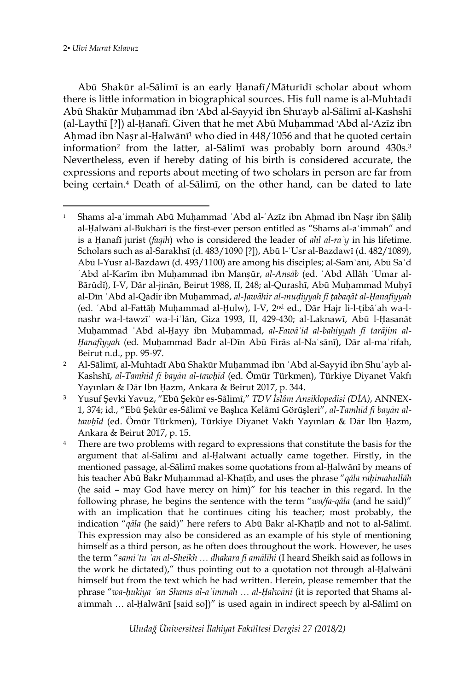Abū Shakūr al-Sālimī is an early Ḥanafī/Māturīdī scholar about whom there is little information in biographical sources. His full name is al-Muhtadī Abū Shakūr Muḥammad ibn ʿAbd al-Sayyid ibn Shuʿayb al-Sālimī al-Kashshī (al-Laythī [?]) al-Ḥanafī. Given that he met Abū Muḥammad ʿAbd al-ʿAzīz ibn Aḥmad ibn Naṣr al-Ḥalwānī<sup>1</sup> who died in 448/1056 and that he quoted certain information<sup>2</sup> from the latter, al-Sālimī was probably born around 430s. 3 Nevertheless, even if hereby dating of his birth is considered accurate, the expressions and reports about meeting of two scholars in person are far from being certain. <sup>4</sup> Death of al-Sālimī, on the other hand, can be dated to late

 $\overline{a}$ <sup>1</sup> Shams al-aʾimmah Abū Muḥammad ʿAbd al-ʿAzīz ibn Aḥmad ibn Naṣr ibn Ṣāliḥ al-Ḥalwānī al-Bukhārī is the first-ever person entitled as "Shams al-aʾimmah" and is a Ḥanafī jurist (*faqīh*) who is considered the leader of *ahl al-raʾy* in his lifetime. Scholars such as al-Sarakhsī (d. 483/1090 [?]), Abū l-ʿUsr al-Bazdawī (d. 482/1089), Abū l-Yusr al-Bazdawī (d. 493/1100) are among his disciples; al-Samʿānī, Abū Saʿd ʿAbd al-Karīm ibn Muḥammad ibn Manṣūr, *al-Ansāb* (ed. ʿAbd Allāh ʿUmar al-Bārūdī), I-V, Dār al-jinān, Beirut 1988, II, 248; al-Qurashī, Abū Muḥammad Muḥyī al-Dīn ʿAbd al-Qādir ibn Muḥammad, *al-Jawāhir al-muḍiyyah fī ṭabaqāt al-Ḥanafiyyah*  (ed. ʿAbd al-Fattāḥ Muḥammad al-Ḥulw), I-V, 2nd ed., Dār Hajr li-l-ṭibāʿah wa-lnashr wa-l-tawzīʿ wa-l-iʿlān, Giza 1993, II, 429-430; al-Laknawī, Abū l-Ḥasanāt Muhammad `Abd al-Hayy ibn Muhammad, al-Fawā'id al-bahiyyah fī tarājim al-*Ḥanafiyyah* (ed. Muḥammad Badr al-Dīn Abū Firās al-Naʿsānī), Dār al-maʿrifah, Beirut n.d., pp. 95-97.

<sup>2</sup> Al-Sālimī, al-Muhtadī Abū Shakūr Muḥammad ibn ʿAbd al-Sayyid ibn Shuʿayb al-Kashshī, *al-Tamhīd fī bayān al-tawḥīd* (ed. Ömür Türkmen), Türkiye Diyanet Vakfı Yayınları & Dār Ibn Ḥazm, Ankara & Beirut 2017, p. 344.

<sup>3</sup> Yusuf Şevki Yavuz, "Ebû Şekûr es-Sâlimî," *TDV İslâm Ansiklopedisi (DİA)*, ANNEX-1, 374; id., "Ebû Şekûr es-Sâlimî ve Başlıca Kelâmî Görüşleri", *al-Tamhīd fī bayān altawḥīd* (ed. Ömür Türkmen), Türkiye Diyanet Vakfı Yayınları & Dār Ibn Ḥazm, Ankara & Beirut 2017, p. 15.

<sup>&</sup>lt;sup>4</sup> There are two problems with regard to expressions that constitute the basis for the argument that al-Sālimī and al-Ḥalwānī actually came together. Firstly, in the mentioned passage, al-Sālimī makes some quotations from al-Ḥalwānī by means of his teacher Abū Bakr Muḥammad al-Khaṭīb, and uses the phrase "*qāla raḥimahullāh* (he said – may God have mercy on him)" for his teacher in this regard. In the following phrase, he begins the sentence with the term "*wa/fa-qāla* (and he said)" with an implication that he continues citing his teacher; most probably, the indication "*qāla* (he said)" here refers to Abū Bakr al-Khaṭīb and not to al-Sālimī. This expression may also be considered as an example of his style of mentioning himself as a third person, as he often does throughout the work. However, he uses the term "*samiʿtu ʿan al-Sheikh … dhakara fī amālīhi* (I heard Sheikh said as follows in the work he dictated)," thus pointing out to a quotation not through al-Ḥalwānī himself but from the text which he had written. Herein, please remember that the phrase "*wa-ḥukiya ʿan Shams al-aʾimmah … al-Ḥalwānī* (it is reported that Shams ala'immah ... al-Ḥalwānī [said so])" is used again in indirect speech by al-Sālimī on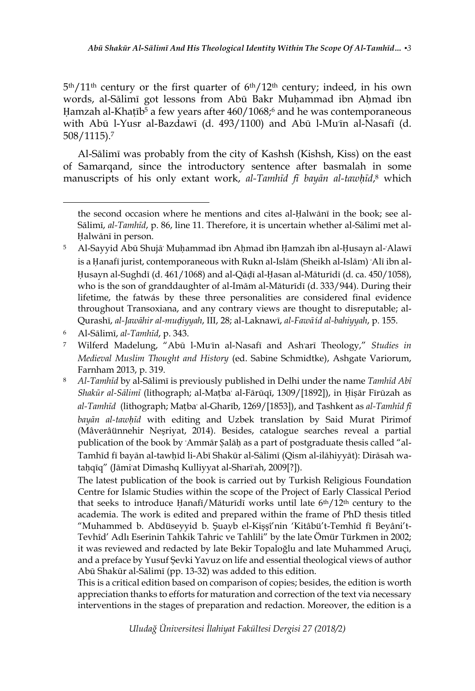5 th/11th century or the first quarter of 6th/12th century; indeed, in his own words, al-Sālimī got lessons from Abū Bakr Muhammad ibn Ahmad ibn Hamzah al-Khatīb $\frac{1}{2}$  a few years after 460/1068;<sup>6</sup> and he was contemporaneous with Abū l-Yusr al-Bazdawī (d. 493/1100) and Abū l-Mu'īn al-Nasafī (d. 508/1115). 7

Al-Sālimī was probably from the city of Kashsh (Kishsh, Kiss) on the east of Samarqand, since the introductory sentence after basmalah in some manuscripts of his only extant work, *al-Tamhīd fī bayān al-tawḥīd*, <sup>8</sup> which

 $\overline{a}$ 

The latest publication of the book is carried out by Turkish Religious Foundation Centre for Islamic Studies within the scope of the Project of Early Classical Period that seeks to introduce Ḥanafī/Māturīdī works until late 6<sup>th</sup>/12<sup>th</sup> century to the academia. The work is edited and prepared within the frame of PhD thesis titled "Muhammed b. Abdüseyyid b. Şuayb el-Kişşî'nin 'Kitâbü't-Temhîd fî Beyâni't-Tevhîd' Adlı Eserinin Tahkik Tahric ve Tahlili" by the late Ömür Türkmen in 2002; it was reviewed and redacted by late Bekir Topaloğlu and late Muhammed Aruçi, and a preface by Yusuf Şevki Yavuz on life and essential theological views of author Abū Shakūr al-Sālimī (pp. 13-32) was added to this edition.

This is a critical edition based on comparison of copies; besides, the edition is worth appreciation thanks to efforts for maturation and correction of the text via necessary interventions in the stages of preparation and redaction. Moreover, the edition is a

the second occasion where he mentions and cites al-Ḥalwānī in the book; see al-Sālimī, *al-Tamhīd*, p. 86, line 11. Therefore, it is uncertain whether al-Sālimī met al-Ḥalwānī in person.

<sup>5</sup> Al-Sayyid Abū Shujāʿ Muḥammad ibn Aḥmad ibn Ḥamzah ibn al-Ḥusayn al-ʿAlawī is a Ḥanafī jurist, contemporaneous with Rukn al-Islām (Sheikh al-Islām) ʿAlī ibn al-Ḥusayn al-Sughdī (d. 461/1068) and al-Qāḍī al-Ḥasan al-Māturīdī (d. ca. 450/1058), who is the son of granddaughter of al-Imām al-Māturīdī (d. 333/944). During their lifetime, the fatwás by these three personalities are considered final evidence throughout Transoxiana, and any contrary views are thought to disreputable; al-Qurashī, *al-Jawāhir al-muḍiyyah*, III, 28; al-Laknawī, *al-Fawā*ʾ*id al-bahiyyah*, p. 155.

<sup>6</sup> Al-Sālimī, *al-Tamhīd*, p. 343.

<sup>7</sup> Wilferd Madelung, "Abū l-Muʿīn al-Nasafī and Ashʿarī Theology," *Studies in Medieval Muslim Thought and History* (ed. Sabine Schmidtke), Ashgate Variorum, Farnham 2013, p. 319.

<sup>8</sup> *Al-Tamhīd* by al-Sālimī is previously published in Delhi under the name *Tamhīd Abī Shakūr al-Sālimī* (lithograph; al-Maṭbaʿ al-Fārūqī, 1309/[1892]), in Ḥiṣār Fīrūzah as *al-Tamhīd* (lithograph; Maṭbaʿ al-Gharīb, 1269/[1853]), and Ṭashkent as *al-Tamhīd fī bayān al-tawḥīd* with editing and Uzbek translation by Said Murat Pirimof (Mâverâünnehir Neşriyat, 2014). Besides, catalogue searches reveal a partial publication of the book by 'Ammār Şalāḥ as a part of postgraduate thesis called "al-Tamhīd fī bayān al-tawhīd li-Abī Shakūr al-Sālimī (Qism al-ilāhiyyāt): Dirāsah wataḥqīq" (Jāmiʿat Dimashq Kulliyyat al-Sharīʿah, 2009[?]).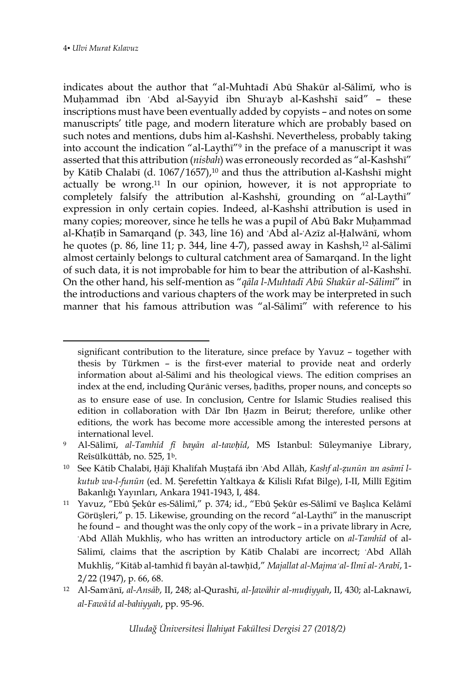indicates about the author that "al-Muhtadī Abū Shakūr al-Sālimī, who is Muḥammad ibn `Abd al-Sayyid ibn Shu'ayb al-Kashshī said" - these inscriptions must have been eventually added by copyists – and notes on some manuscripts' title page, and modern literature which are probably based on such notes and mentions, dubs him al-Kashshī. Nevertheless, probably taking into account the indication "al-Laythī"<sup>9</sup> in the preface of a manuscript it was asserted that this attribution (*nisbah*) was erroneously recorded as "al-Kashshī" by Kātib Chalabī (d. 1067/1657),<sup>10</sup> and thus the attribution al-Kashshī might actually be wrong.<sup>11</sup> In our opinion, however, it is not appropriate to completely falsify the attribution al-Kashshī, grounding on "al-Laythī" expression in only certain copies. Indeed, al-Kashshī attribution is used in many copies; moreover, since he tells he was a pupil of Abū Bakr Muḥammad al-Khaṭīb in Samarqand (p. 343, line 16) and ʿAbd al-ʿAzīz al-Ḥalwānī, whom he quotes (p. 86, line 11; p. 344, line 4-7), passed away in Kashsh, <sup>12</sup> al-Sālimī almost certainly belongs to cultural catchment area of Samarqand. In the light of such data, it is not improbable for him to bear the attribution of al-Kashshī. On the other hand, his self-mention as "*qāla l-Muhtadī Abū Shakūr al-Sālimī*" in the introductions and various chapters of the work may be interpreted in such manner that his famous attribution was "al-Sālimī" with reference to his

significant contribution to the literature, since preface by Yavuz – together with thesis by Türkmen – is the first-ever material to provide neat and orderly information about al-Sālimī and his theological views. The edition comprises an index at the end, including Qurʾānic verses, ḥadīths, proper nouns, and concepts so as to ensure ease of use. In conclusion, Centre for Islamic Studies realised this edition in collaboration with Dār Ibn Hazm in Beirut; therefore, unlike other editions, the work has become more accessible among the interested persons at international level.

<sup>9</sup> Al-Sālimī, *al-Tamhīd fī bayān al-tawḥīd*, MS Istanbul: Süleymaniye Library, Reîsülküttâb, no. 525, 1b.

<sup>10</sup> See Kātib Chalabī, Ḥājī Khalīfah Muṣṭafá ibn ʿAbd Allāh, *Kashf al-ẓunūn* ʿ*an asāmī lkutub wa-l-funūn* (ed. M. Şerefettin Yaltkaya & Kilisli Rıfat Bilge), I-II, Millî Eğitim Bakanlığı Yayınları, Ankara 1941-1943, I, 484.

<sup>11</sup> Yavuz, "Ebû Şekûr es-Sâlimî," p. 374; id., "Ebû Şekûr es-Sâlimî ve Başlıca Kelâmî Görüşleri," p. 15. Likewise, grounding on the record "al-Laythī" in the manuscript he found – and thought was the only copy of the work – in a private library in Acre, ʿAbd Allāh Mukhliṣ, who has written an introductory article on *al-Tamhīd* of al-Sālimī, claims that the ascription by Kātib Chalabī are incorrect; ʿAbd Allāh Mukhliṣ, "Kitāb al-tamhīd fī bayān al-tawḥīd," *Majallat al-Majma*<sup>ʿ</sup> *al-*ʿ*Ilmī al-*ʿ*Arabī*, 1- 2/22 (1947), p. 66, 68.

<sup>12</sup> Al-Samʿānī, *al-Ansāb*, II, 248; al-Qurashī, *al-Jawāhir al-muḍiyyah*, II, 430; al-Laknawī, *al-Fawā*ʾ*id al-bahiyyah*, pp. 95-96.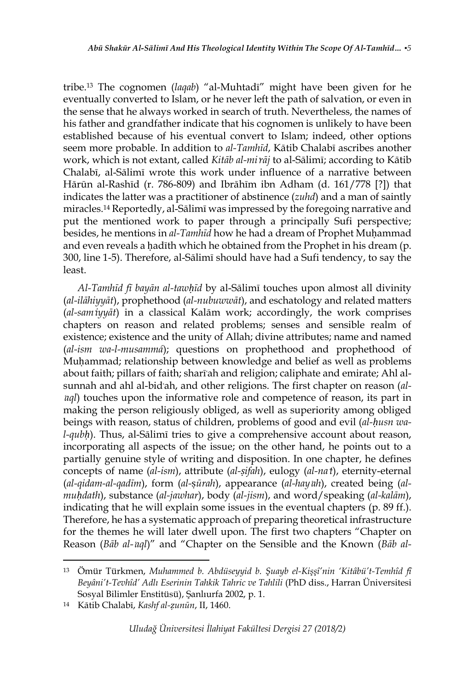tribe.<sup>13</sup> The cognomen (*laqab*) "al-Muhtadī" might have been given for he eventually converted to Islam, or he never left the path of salvation, or even in the sense that he always worked in search of truth. Nevertheless, the names of his father and grandfather indicate that his cognomen is unlikely to have been established because of his eventual convert to Islam; indeed, other options seem more probable. In addition to *al-Tamhīd*, Kātib Chalabī ascribes another work, which is not extant, called *Kitāb al-mi*ʿ*rāj* to al-Sālimī; according to Kātib Chalabī, al-Sālimī wrote this work under influence of a narrative between Hārūn al-Rashīd (r. 786-809) and Ibrāhīm ibn Adham (d. 161/778 [?]) that indicates the latter was a practitioner of abstinence (*zuhd*) and a man of saintly miracles. <sup>14</sup> Reportedly, al-Sālimī was impressed by the foregoing narrative and put the mentioned work to paper through a principally Sufi perspective; besides, he mentions in *al-Tamhīd* how he had a dream of Prophet Muḥammad and even reveals a hadīth which he obtained from the Prophet in his dream (p. 300, line 1-5). Therefore, al-Sālimī should have had a Sufi tendency, to say the least.

*Al-Tamhīd fī bayān al-tawḥīd* by al-Sālimī touches upon almost all divinity (*al-ilāhiyyāt*), prophethood (*al-nubuwwāt*), and eschatology and related matters (*al-sam*ʿ*iyyāt*) in a classical Kalām work; accordingly, the work comprises chapters on reason and related problems; senses and sensible realm of existence; existence and the unity of Allah; divine attributes; name and named (*al-ism wa-l-musammá*); questions on prophethood and prophethood of Muḥammad; relationship between knowledge and belief as well as problems about faith; pillars of faith; sharīʿah and religion; caliphate and emirate; Ahl alsunnah and ahl al-bidʿah, and other religions. The first chapter on reason (*alagl*) touches upon the informative role and competence of reason, its part in making the person religiously obliged, as well as superiority among obliged beings with reason, status of children, problems of good and evil (*al-ḥusn wal-qubḥ*). Thus, al-Sālimī tries to give a comprehensive account about reason, incorporating all aspects of the issue; on the other hand, he points out to a partially genuine style of writing and disposition. In one chapter, he defines concepts of name (*al-ism*), attribute (*al-ṣifah*), eulogy (*al-na*ʿ*t*), eternity-eternal (*al-qidam-al-qadīm*), form (*al-*ṣ*ūrah*), appearance (*al-hay*ʾ*ah*), created being (*almuḥdath*), substance (*al-jawhar*), body (*al-jism*), and word/speaking (*al-kalām*), indicating that he will explain some issues in the eventual chapters (p. 89 ff.). Therefore, he has a systematic approach of preparing theoretical infrastructure for the themes he will later dwell upon. The first two chapters "Chapter on Reason (*Bāb al-*ʿ*aql*)" and "Chapter on the Sensible and the Known (*Bāb al-*

 $\overline{a}$ 

<sup>13</sup> Ömür Türkmen, *Muhammed b. Abdüseyyid b. Şuayb el-Kişşî'nin 'Kitâbü't-Temhîd fî Beyâni't-Tevhîd' Adlı Eserinin Tahkik Tahric ve Tahlili* (PhD diss., Harran Üniversitesi Sosyal Bilimler Enstitüsü), Şanlıurfa 2002, p. 1.

<sup>14</sup> Kātib Chalabī, *Kashf al-ẓunūn*, II, 1460.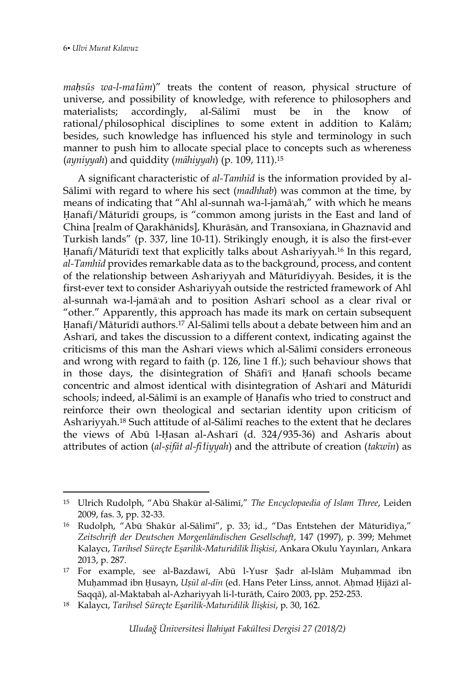*maḥsūs wa-l-ma*ʿ*lūm*)" treats the content of reason, physical structure of universe, and possibility of knowledge, with reference to philosophers and materialists; accordingly, al-Sālimī must be in the know of rational/philosophical disciplines to some extent in addition to Kalām; besides, such knowledge has influenced his style and terminology in such manner to push him to allocate special place to concepts such as whereness (*ayniyyah*) and quiddity (*māhiyyah*) (p. 109, 111).<sup>15</sup>

A significant characteristic of *al-Tamhīd* is the information provided by al-Sālimī with regard to where his sect (*madhhab*) was common at the time, by means of indicating that "Ahl al-sunnah wa-l-jamāʿah," with which he means Ḥanafī/Māturīdī groups, is "common among jurists in the East and land of China [realm of Qarakhānids], Khurāsān, and Transoxiana, in Ghaznavid and Turkish lands" (p. 337, line 10-11). Strikingly enough, it is also the first-ever Hanafī/Māturīdī text that explicitly talks about Ash'ariyyah.<sup>16</sup> In this regard, *al-Tamhīd* provides remarkable data as to the background, process, and content of the relationship between Ashʿariyyah and Māturīdiyyah. Besides, it is the first-ever text to consider Ashʿariyyah outside the restricted framework of Ahl al-sunnah wa-l-jamāʿah and to position Ashʿarī school as a clear rival or "other." Apparently, this approach has made its mark on certain subsequent Ḥanafī/Māturīdī authors. <sup>17</sup> Al-Sālimī tells about a debate between him and an Ashʿarī, and takes the discussion to a different context, indicating against the criticisms of this man the Ashʿarī views which al-Sālimī considers erroneous and wrong with regard to faith (p. 126, line 1 ff.); such behaviour shows that in those days, the disintegration of Shāfi<sup>1</sup> and Ḥanafī schools became concentric and almost identical with disintegration of Ashʿarī and Māturīdī schools; indeed, al-Sālimī is an example of Ḥanafīs who tried to construct and reinforce their own theological and sectarian identity upon criticism of Ashʿariyyah. <sup>18</sup> Such attitude of al-Sālimī reaches to the extent that he declares the views of Abū l-Ḥasan al-Ashʿarī (d. 324/935-36) and Ashʿarīs about attributes of action (*al-ṣifāt al-fi*ʿ*liyyah*) and the attribute of creation (*takwīn*) as

<sup>15</sup> Ulrich Rudolph, "Abū Shakūr al-Sālimī," *The Encyclopaedia of Islam Three*, Leiden 2009, fas. 3, pp. 32-33.

<sup>16</sup> Rudolph, "Abū Shakūr al-Sālimī", p. 33; id., "Das Entstehen der Māturīdīya," *Zeitschrift der Deutschen Morgenländischen Gesellschaft*, 147 (1997), p. 399; Mehmet Kalaycı, *Tarihsel Süreçte Eşarilik-Maturidilik İlişkisi*, Ankara Okulu Yayınları, Ankara 2013, p. 287.

<sup>17</sup> For example, see al-Bazdawī, Abū l-Yusr Ṣadr al-Islām Muḥammad ibn Muḥammad ibn Ḥusayn, *Uṣūl al-dīn* (ed. Hans Peter Linss, annot. Aḥmad Ḥijāzī al-Saqqā), al-Maktabah al-Azhariyyah li-l-turāth, Cairo 2003, pp. 252-253.

<sup>18</sup> Kalaycı, *Tarihsel Süreçte Eşarilik-Maturidilik İlişkisi*, p. 30, 162.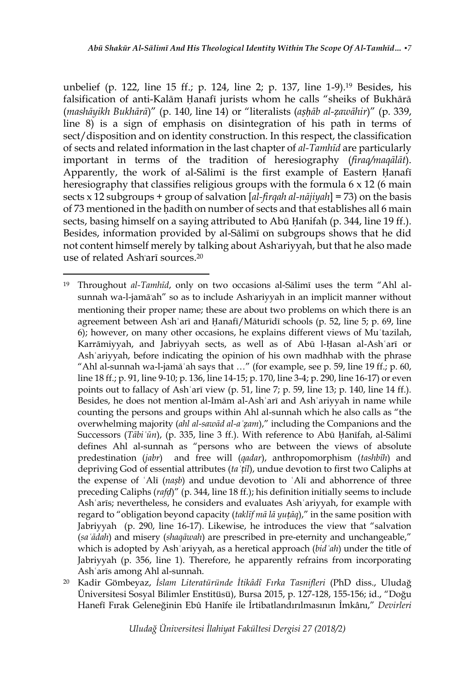unbelief (p. 122, line 15 ff.; p. 124, line 2; p. 137, line 1-9).<sup>19</sup> Besides, his falsification of anti-Kalām Ḥanafī jurists whom he calls "sheiks of Bukhārā (*mashāyikh Bukhārā*)" (p. 140, line 14) or "literalists (*aṣḥāb al-ẓawāhir*)" (p. 339, line 8) is a sign of emphasis on disintegration of his path in terms of sect/disposition and on identity construction. In this respect, the classification of sects and related information in the last chapter of *al-Tamhīd* are particularly important in terms of the tradition of heresiography (*firaq/maqālāt*). Apparently, the work of al-Sālimī is the first example of Eastern Ḥanafī heresiography that classifies religious groups with the formula 6 x 12 (6 main sects x 12 subgroups + group of salvation [*al-firqah al-nājiyah*] = 73) on the basis of 73 mentioned in the hadīth on number of sects and that establishes all 6 main sects, basing himself on a saying attributed to Abū Ḥanifah (p. 344, line 19 ff.). Besides, information provided by al-Sālimī on subgroups shows that he did not content himself merely by talking about Ashʿariyyah, but that he also made use of related Ashʿarī sources. 20

 $\overline{a}$ 

<sup>19</sup> Throughout *al-Tamhīd*, only on two occasions al-Sālimī uses the term "Ahl alsunnah wa-l-jamāʿah" so as to include Ashʿariyyah in an implicit manner without mentioning their proper name; these are about two problems on which there is an agreement between Ashʿarī and Ḥanafī/Māturīdī schools (p. 52, line 5; p. 69, line 6); however, on many other occasions, he explains different views of Muʿtazilah, Karrāmiyyah, and Jabriyyah sects, as well as of Abū l-Ḥasan al-Ashʿarī or Ashʿariyyah, before indicating the opinion of his own madhhab with the phrase "Ahl al-sunnah wa-l-jamāʿah says that …" (for example, see p. 59, line 19 ff.; p. 60, line 18 ff.; p. 91, line 9-10; p. 136, line 14-15; p. 170, line 3-4; p. 290, line 16-17) or even points out to fallacy of Ashʿarī view (p. 51, line 7; p. 59, line 13; p. 140, line 14 ff.). Besides, he does not mention al-Imām al-Ashʿarī and Ashʿariyyah in name while counting the persons and groups within Ahl al-sunnah which he also calls as "the overwhelming majority (*ahl al-sawād al-aʿẓam*)," including the Companions and the Successors (*Tābiʿūn*), (p. 335, line 3 ff.). With reference to Abū Ḥanīfah, al-Sālimī defines Ahl al-sunnah as "persons who are between the views of absolute predestination (*jabr*)and free will (*qadar*), anthropomorphism (*tashbīh*) and depriving God of essential attributes (*taʿṭīl*), undue devotion to first two Caliphs at the expense of ʿAlī (*naṣb*) and undue devotion to ʿAlī and abhorrence of three preceding Caliphs (*rafḍ*)" (p. 344, line 18 ff.); his definition initially seems to include Ashʿarīs; nevertheless, he considers and evaluates Ashʿariyyah, for example with regard to "obligation beyond capacity (*taklīf mā lā yuṭāq*)," in the same position with Jabriyyah (p. 290, line 16-17). Likewise, he introduces the view that "salvation (*saʿādah*) and misery (*shaqāwah*) are prescribed in pre-eternity and unchangeable," which is adopted by Ashʿariyyah, as a heretical approach (*bidʿah*) under the title of Jabriyyah (p. 356, line 1). Therefore, he apparently refrains from incorporating Ashʿarīs among Ahl al-sunnah.

<sup>20</sup> Kadir Gömbeyaz, *İslam Literatüründe İtikâdî Fırka Tasnifleri* (PhD diss., Uludağ Üniversitesi Sosyal Bilimler Enstitüsü), Bursa 2015, p. 127-128, 155-156; id., "Doğu Hanefî Fırak Geleneğinin Ebû Hanîfe ile İrtibatlandırılmasının İmkânı," *Devirleri*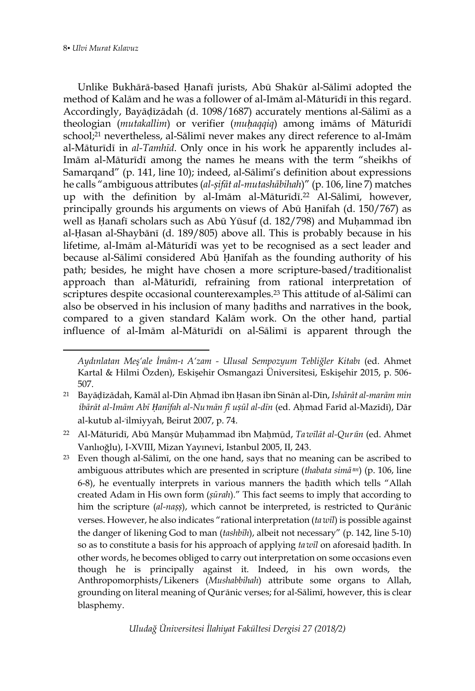Unlike Bukhārā-based Ḥanafī jurists, Abū Shakūr al-Sālimī adopted the method of Kalām and he was a follower of al-Imām al-Māturīdī in this regard. Accordingly, Bayāḍīzādah (d. 1098/1687) accurately mentions al-Sālimī as a theologian (*mutakallim*) or verifier (*muḥaqqiq*) among imāms of Māturīdī school; <sup>21</sup> nevertheless, al-Sālimī never makes any direct reference to al-Imām al-Māturīdī in *al-Tamhīd*. Only once in his work he apparently includes al-Imām al-Māturīdī among the names he means with the term "sheikhs of Samarqand" (p. 141, line 10); indeed, al-Sālimī's definition about expressions he calls "ambiguous attributes (*al-ṣifāt al-mutashābihah*)" (p. 106, line 7) matches up with the definition by al-Imām al-Māturīdī. <sup>22</sup> Al-Sālimī, however, principally grounds his arguments on views of Abū Ḥanīfah (d. 150/767) as well as Ḥanafī scholars such as Abū Yūsuf (d. 182/798) and Muḥammad ibn al-Ḥasan al-Shaybānī (d. 189/805) above all. This is probably because in his lifetime, al-Imām al-Māturīdī was yet to be recognised as a sect leader and because al-Sālimī considered Abū Ḥanīfah as the founding authority of his path; besides, he might have chosen a more scripture-based/traditionalist approach than al-Māturīdī, refraining from rational interpretation of scriptures despite occasional counterexamples. <sup>23</sup> This attitude of al-Sālimī can also be observed in his inclusion of many hadīths and narratives in the book, compared to a given standard Kalām work. On the other hand, partial influence of al-Imām al-Māturīdī on al-Sālimī is apparent through the

*Aydınlatan Meş'ale İmâm-ı A'zam - Ulusal Sempozyum Tebliğler Kitabı* (ed. Ahmet Kartal & Hilmi Özden), Eskişehir Osmangazi Üniversitesi, Eskişehir 2015, p. 506- 507.

<sup>21</sup> Bayāḍīzādah, Kamāl al-Dīn Aḥmad ibn Ḥasan ibn Sinān al-Dīn, *Ishārāt al-marām min*  ibārāt al-Imām Abī Hanīfah al-Nu mān fī usūl al-dīn (ed. Ahmad Farīd al-Mazīdī), Dār al-kutub al-ʿilmiyyah, Beirut 2007, p. 74.

<sup>22</sup> Al-Māturīdī, Abū Manṣūr Muḥammad ibn Maḥmūd, *Ta*ʾ*wīlāt al-Qur*ʾ*ān* (ed. Ahmet Vanlıoğlu), I-XVIII, Mizan Yayınevi, Istanbul 2005, II, 243.

<sup>23</sup> Even though al-Sālimī, on the one hand, says that no meaning can be ascribed to ambiguous attributes which are presented in scripture (*thabata simā*<sup>*m*</sup>) (p. 106, line 6-8), he eventually interprets in various manners the hadīth which tells "Allah created Adam in His own form (*ṣūrah*)." This fact seems to imply that according to him the scripture (al-nașș), which cannot be interpreted, is restricted to Qur'ānic verses. However, he also indicates "rational interpretation (*ta*ʾ*wīl*) is possible against the danger of likening God to man (*tashbīh*), albeit not necessary" (p. 142, line 5-10) so as to constitute a basis for his approach of applying *ta*ʾ*wīl* on aforesaid ḥadīth. In other words, he becomes obliged to carry out interpretation on some occasions even though he is principally against it. Indeed, in his own words, the Anthropomorphists/Likeners (*Mushabbihah*) attribute some organs to Allah, grounding on literal meaning of Qurʾānic verses; for al-Sālimī, however, this is clear blasphemy.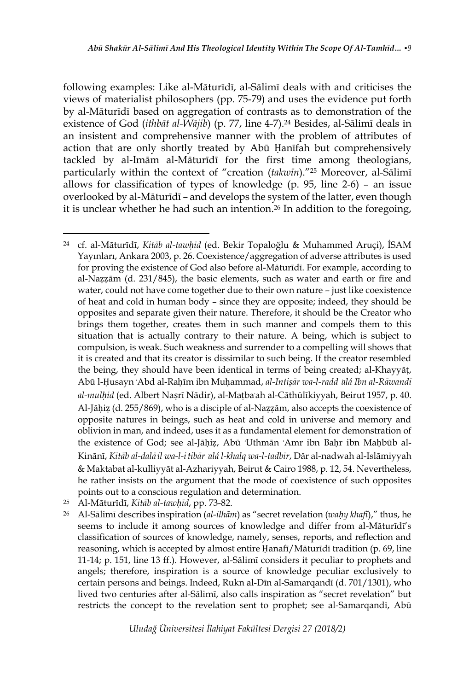following examples: Like al-Māturīdī, al-Sālimī deals with and criticises the views of materialist philosophers (pp. 75-79) and uses the evidence put forth by al-Māturīdī based on aggregation of contrasts as to demonstration of the existence of God (*ithbāt al-Wājib*) (p. 77, line 4-7). <sup>24</sup> Besides, al-Sālimī deals in an insistent and comprehensive manner with the problem of attributes of action that are only shortly treated by Abū Ḥanīfah but comprehensively tackled by al-Imām al-Māturīdī for the first time among theologians, particularly within the context of "creation (*takwīn*)." <sup>25</sup> Moreover, al-Sālimī allows for classification of types of knowledge (p. 95, line 2-6) – an issue overlooked by al-Māturīdī – and develops the system of the latter, even though it is unclear whether he had such an intention. <sup>26</sup> In addition to the foregoing,

- <sup>25</sup> Al-Māturīdī, *Kitāb al-tawḥīd*, pp. 73-82.
- <sup>26</sup> Al-Sālimī describes inspiration (*al-ilhām*) as "secret revelation (*waḥy khafī*)," thus, he seems to include it among sources of knowledge and differ from al-Māturīdī's classification of sources of knowledge, namely, senses, reports, and reflection and reasoning, which is accepted by almost entire Ḥanafī/Māturīdī tradition (p. 69, line 11-14; p. 151, line 13 ff.). However, al-Sālimī considers it peculiar to prophets and angels; therefore, inspiration is a source of knowledge peculiar exclusively to certain persons and beings. Indeed, Rukn al-Dīn al-Samarqandī (d. 701/1301), who lived two centuries after al-Sālimī, also calls inspiration as "secret revelation" but restricts the concept to the revelation sent to prophet; see al-Samarqandī, Abū

 $\overline{a}$ <sup>24</sup> cf. al-Māturīdī, *Kitāb al-tawḥīd* (ed. Bekir Topaloğlu & Muhammed Aruçi), İSAM Yayınları, Ankara 2003, p. 26. Coexistence/aggregation of adverse attributes is used for proving the existence of God also before al-Māturīdī. For example, according to al-Naẓẓām (d. 231/845), the basic elements, such as water and earth or fire and water, could not have come together due to their own nature – just like coexistence of heat and cold in human body – since they are opposite; indeed, they should be opposites and separate given their nature. Therefore, it should be the Creator who brings them together, creates them in such manner and compels them to this situation that is actually contrary to their nature. A being, which is subject to compulsion, is weak. Such weakness and surrender to a compelling will shows that it is created and that its creator is dissimilar to such being. If the creator resembled the being, they should have been identical in terms of being created; al-Khayyāṭ, Abū l-Ḥusayn ʿAbd al-Raḥīm ibn Muḥammad, *al-Intiṣār wa-l-radd* ʿ*alá Ibn al-Rāwandī al-mulḥid* (ed. Albert Naṣrī Nādir), al-Maṭbaʿah al-Cāthūlīkiyyah, Beirut 1957, p. 40. Al-Jāḥiẓ (d. 255/869), who is a disciple of al-Naẓẓām, also accepts the coexistence of opposite natures in beings, such as heat and cold in universe and memory and oblivion in man, and indeed, uses it as a fundamental element for demonstration of the existence of God; see al-Jāhiz, Abū 'Uthmān 'Amr ibn Bahr ibn Mahbūb al-Kinānī, *Kitāb al-dalā*ʾ*il wa-l-i*ʿ*tibār* <sup>ʿ</sup>*alá l-khalq wa-l-tadbīr*, Dār al-nadwah al-Islāmiyyah & Maktabat al-kulliyyāt al-Azhariyyah, Beirut & Cairo 1988, p. 12, 54. Nevertheless, he rather insists on the argument that the mode of coexistence of such opposites points out to a conscious regulation and determination.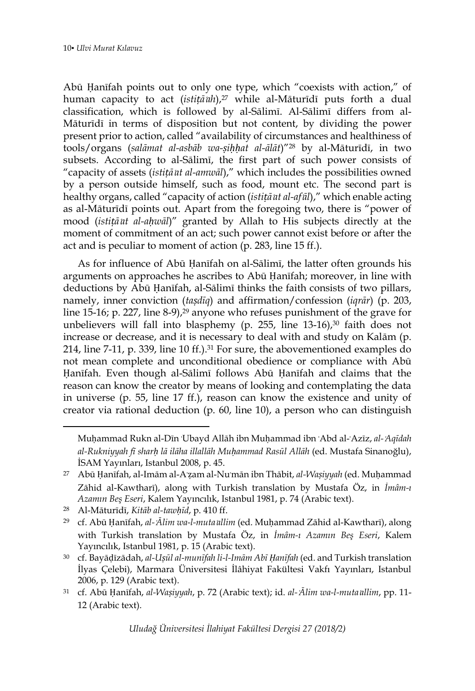Abū Ḥanīfah points out to only one type, which "coexists with action," of human capacity to act (*istiṭā*ʿ*ah*), <sup>27</sup> while al-Māturīdī puts forth a dual classification, which is followed by al-Sālimī. Al-Sālimī differs from al-Māturīdī in terms of disposition but not content, by dividing the power present prior to action, called "availability of circumstances and healthiness of tools/organs (*salāmat al-asbāb wa-ṣiḥḥat al-ālāt*)"<sup>28</sup> by al-Māturīdī, in two subsets. According to al-Sālimī, the first part of such power consists of "capacity of assets (*istitā at al-amwāl*)," which includes the possibilities owned by a person outside himself, such as food, mount etc. The second part is healthy organs, called "capacity of action (*istiṭā*ʿ*at al-af*ʿ*āl*)," which enable acting as al-Māturīdī points out. Apart from the foregoing two, there is "power of mood (*istiṭā*ʿ*at al-aḥwāl*)" granted by Allah to His subjects directly at the moment of commitment of an act; such power cannot exist before or after the act and is peculiar to moment of action (p. 283, line 15 ff.).

As for influence of Abū Ḥanīfah on al-Sālimī, the latter often grounds his arguments on approaches he ascribes to Abū Ḥanīfah; moreover, in line with deductions by Abū Ḥanīfah, al-Sālimī thinks the faith consists of two pillars, namely, inner conviction (*taṣdīq*) and affirmation/confession (*iqrār*) (p. 203, line 15-16; p. 227, line 8-9),<sup>29</sup> anyone who refuses punishment of the grave for unbelievers will fall into blasphemy (p. 255, line  $13-16$ ), $30$  faith does not increase or decrease, and it is necessary to deal with and study on Kalām (p. 214, line 7-11, p. 339, line 10 ff.). <sup>31</sup> For sure, the abovementioned examples do not mean complete and unconditional obedience or compliance with Abū Ḥanīfah. Even though al-Sālimī follows Abū Ḥanīfah and claims that the reason can know the creator by means of looking and contemplating the data in universe (p. 55, line 17 ff.), reason can know the existence and unity of creator via rational deduction (p. 60, line 10), a person who can distinguish

 $\overline{a}$ 

Muḥammad Rukn al-Dīn ʿUbayd Allāh ibn Muḥammad ibn ʿAbd al-ʿAzīz, *al-*ʿ*Aqīdah al-Rukniyyah fī sharḥ lā ilāha illallāh Muḥammad Rasūl Allāh* (ed. Mustafa Sinanoğlu), İSAM Yayınları, Istanbul 2008, p. 45.

<sup>27</sup> Abū Ḥanīfah, al-Imām al-Aʿẓam al-Nuʿmān ibn Thābit, *al-Waṣiyyah* (ed. Muḥammad Zāhid al-Kawtharī), along with Turkish translation by Mustafa Öz, in *İmâm-ı Azamın Beş Eseri*, Kalem Yayıncılık, Istanbul 1981, p. 74 (Arabic text).

<sup>28</sup> Al-Māturīdī, *Kitāb al-tawḥīd*, p. 410 ff.

<sup>29</sup> cf. Abū Ḥanīfah, *al-*ʿ*Ālim wa-l-muta*ʿ*allim* (ed. Muḥammad Zāhid al-Kawtharī), along with Turkish translation by Mustafa Öz, in *İmâm-ı Azamın Beş Eseri*, Kalem Yayıncılık, Istanbul 1981, p. 15 (Arabic text).

<sup>30</sup> cf. Bayāḍīzādah, *al-Uṣūl al-munīfah li-l-Imām Abī Ḥanīfah* (ed. and Turkish translation İlyas Çelebi), Marmara Üniversitesi İlâhiyat Fakültesi Vakfı Yayınları, Istanbul 2006, p. 129 (Arabic text).

<sup>31</sup> cf. Abū Ḥanīfah, *al-Waṣiyyah*, p. 72 (Arabic text); id. *al-*ʿ*Ālim wa-l-muta*ʿ*allim*, pp. 11- 12 (Arabic text).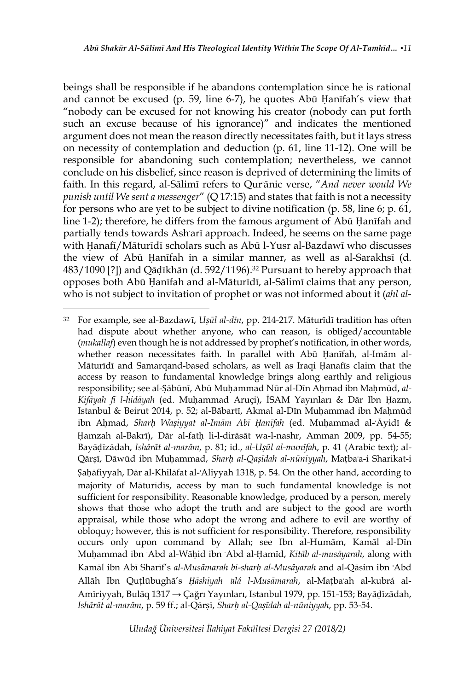beings shall be responsible if he abandons contemplation since he is rational and cannot be excused (p. 59, line 6-7), he quotes Abū Ḥanīfah's view that "nobody can be excused for not knowing his creator (nobody can put forth such an excuse because of his ignorance)" and indicates the mentioned argument does not mean the reason directly necessitates faith, but it lays stress on necessity of contemplation and deduction (p. 61, line 11-12). One will be responsible for abandoning such contemplation; nevertheless, we cannot conclude on his disbelief, since reason is deprived of determining the limits of faith. In this regard, al-Sālimī refers to Qurʾānic verse, "*And never would We punish until We sent a messenger*" (Q 17:15) and states that faith is not a necessity for persons who are yet to be subject to divine notification (p. 58, line 6; p. 61, line 1-2); therefore, he differs from the famous argument of Abū Ḥanīfah and partially tends towards Ashʿarī approach. Indeed, he seems on the same page with Ḥanafī/Māturīdī scholars such as Abū l-Yusr al-Bazdawī who discusses the view of Abū Ḥanīfah in a similar manner, as well as al-Sarakhsī (d. 483/1090 [?]) and Qāḍīkhān (d. 592/1196). <sup>32</sup> Pursuant to hereby approach that opposes both Abū Ḥanīfah and al-Māturīdī, al-Sālimī claims that any person, who is not subject to invitation of prophet or was not informed about it (*ahl al-*

 $\overline{a}$ 

<sup>32</sup> For example, see al-Bazdawī, *Uṣūl al-dīn*, pp. 214-217. Māturīdī tradition has often had dispute about whether anyone, who can reason, is obliged/accountable (*mukallaf*) even though he is not addressed by prophet's notification, in other words, whether reason necessitates faith. In parallel with Abū Ḥanīfah, al-Imām al-Māturīdī and Samarqand-based scholars, as well as Iraqi Ḥanafīs claim that the access by reason to fundamental knowledge brings along earthly and religious responsibility; see al-Ṣābūnī, Abū Muḥammad Nūr al-Dīn Aḥmad ibn Maḥmūd, *al-Kifāyah fī l-hidāyah* (ed. Muḥammad Aruçi), İSAM Yayınları & Dār Ibn Ḥazm, Istanbul & Beirut 2014, p. 52; al-Bābartī, Akmal al-Dīn Muḥammad ibn Maḥmūd ibn Aḥmad, *Sharḥ Waṣiyyat al-Imām Abī Ḥanīfah* (ed. Muḥammad al-ʿĀyidī & Hamzah al-Bakrī), Dār al-fath li-l-dirāsāt wa-l-nashr, Amman 2009, pp. 54-55; Bayāḍīzādah, *Ishārāt al-marām*, p. 81; id., *al-Uṣūl al-munīfah*, p. 41 (Arabic text); al-Qārṣī, Dāwūd ibn Muḥammad, *Sharḥ al-Qaṣīdah al-nūniyyah*, Maṭbaʿa-i Sharikat-i Ṣaḥāfiyyah, Dār al-Khilāfat al-ʿAliyyah 1318, p. 54. On the other hand, according to majority of Māturīdīs, access by man to such fundamental knowledge is not sufficient for responsibility. Reasonable knowledge, produced by a person, merely shows that those who adopt the truth and are subject to the good are worth appraisal, while those who adopt the wrong and adhere to evil are worthy of obloquy; however, this is not sufficient for responsibility. Therefore, responsibility occurs only upon command by Allah; see Ibn al-Humām, Kamāl al-Dīn Muḥammad ibn ʿAbd al-Wāḥid ibn ʿAbd al-Ḥamīd, *Kitāb al-musāyarah*, along with Kamāl ibn Abī Sharīf's *al-Musāmarah bi-sharḥ al-Musāyarah* and al-Qāsim ibn ʿAbd Allāh Ibn Quṭlūbughā's *Ḥāshiyah* ʿ*alá l-Musāmarah*, al-Maṭbaʿah al-kubrá al-Amīriyyah, Bulāq 1317 → Çağrı Yayınları, Istanbul 1979, pp. 151-153; Bayāḍīzādah, *Ishārāt al-marām*, p. 59 ff.; al-Qārṣī, *Sharḥ al-Qaṣīdah al-nūniyyah*, pp. 53-54.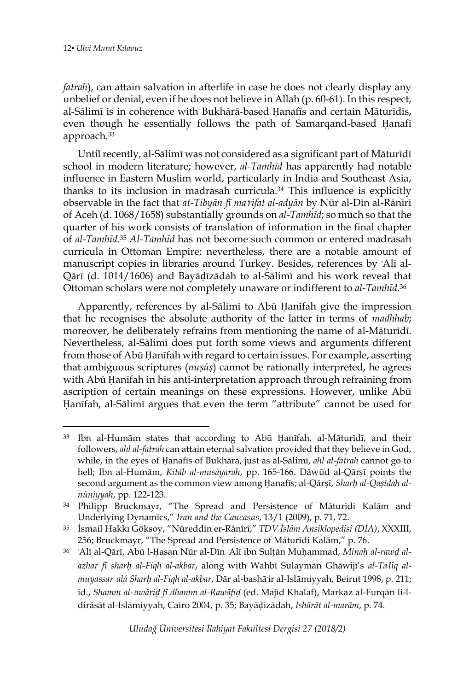*fatrah*), can attain salvation in afterlife in case he does not clearly display any unbelief or denial, even if he does not believe in Allah (p. 60-61). In this respect, al-Sālimī is in coherence with Bukhārā-based Ḥanafīs and certain Māturīdīs, even though he essentially follows the path of Samarqand-based Ḥanafī approach. 33

Until recently, al-Sālimī was not considered as a significant part of Māturīdī school in modern literature; however, *al-Tamhīd* has apparently had notable influence in Eastern Muslim world, particularly in India and Southeast Asia, thanks to its inclusion in madrasah curricula. <sup>34</sup> This influence is explicitly observable in the fact that *at-Tibyān fī ma*ʿ*rifat al-adyān* by Nūr al-Dīn al-Rānīrī of Aceh (d. 1068/1658) substantially grounds on *al-Tamhīd*; so much so that the quarter of his work consists of translation of information in the final chapter of *al-Tamhīd.*<sup>35</sup> *Al-Tamhīd* has not become such common or entered madrasah curricula in Ottoman Empire; nevertheless, there are a notable amount of manuscript copies in libraries around Turkey. Besides, references by ʿAlī al-Qārī (d. 1014/1606) and Bayāḍīzādah to al-Sālimī and his work reveal that Ottoman scholars were not completely unaware or indifferent to *al-Tamhīd*. 36

Apparently, references by al-Sālimī to Abū Ḥanīfah give the impression that he recognises the absolute authority of the latter in terms of *madhhab*; moreover, he deliberately refrains from mentioning the name of al-Māturīdī. Nevertheless, al-Sālimī does put forth some views and arguments different from those of Abū Ḥanīfah with regard to certain issues. For example, asserting that ambiguous scriptures (*nuṣūṣ*) cannot be rationally interpreted, he agrees with Abū Ḥanīfah in his anti-interpretation approach through refraining from ascription of certain meanings on these expressions. However, unlike Abū Ḥanīfah, al-Sālimī argues that even the term "attribute" cannot be used for

<sup>33</sup> Ibn al-Humām states that according to Abū Ḥanīfah, al-Māturīdī, and their followers, *ahl al-fatrah* can attain eternal salvation provided that they believe in God, while, in the eyes of Ḥanafīs of Bukhārā, just as al-Sālimī, *ahl al-fatrah* cannot go to hell; Ibn al-Humām, *Kitāb al-musāyarah*, pp. 165-166. Dāwūd al-Qārṣī points the second argument as the common view among Ḥanafīs; al-Qārṣī, *Sharḥ al-Qaṣīdah alnūniyyah*, pp. 122-123.

<sup>34</sup> Philipp Bruckmayr, "The Spread and Persistence of Māturīdi Kalām and Underlying Dynamics," *Iran and the Caucasus*, 13/1 (2009), p. 71, 72.

<sup>35</sup> İsmail Hakkı Göksoy, "Nûreddin er-Rânîrî," *TDV İslâm Ansiklopedisi (DİA)*, XXXIII, 256; Bruckmayr, "The Spread and Persistence of Māturīdi Kalām," p. 76.

<sup>36</sup> ʿAlī al-Qārī, Abū l-Ḥasan Nūr al-Dīn ʿAlī ibn Sulṭān Muḥammad, *Minaḥ al-rawḍ alazhar fī sharḥ al-Fiqh al-akbar*, along with Wahbī Sulaymān Ghāwijī's *al-Ta*ʿ*līq almuyassar* ʿ*alá Sharḥ al-Fiqh al-akbar*, Dār al-bashāʾir al-Islāmiyyah, Beirut 1998, p. 211; id., *Shamm al-*ʿ*awāriḍ fī dhamm al-Rawāfiḍ* (ed. Majīd Khalaf), Markaz al-Furqān li-ldirāsāt al-Islāmiyyah, Cairo 2004, p. 35; Bayāḍīzādah, *Ishārāt al-marām*, p. 74.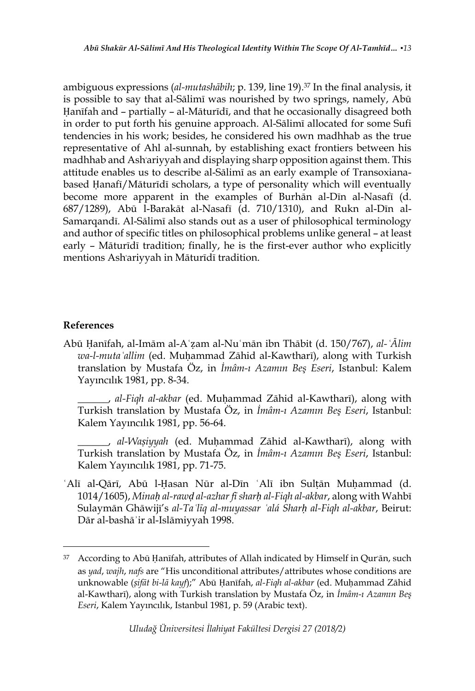ambiguous expressions (*al-mutashābih*; p. 139, line 19). <sup>37</sup> In the final analysis, it is possible to say that al-Sālimī was nourished by two springs, namely, Abū Ḥanīfah and – partially – al-Māturīdī, and that he occasionally disagreed both in order to put forth his genuine approach. Al-Sālimī allocated for some Sufi tendencies in his work; besides, he considered his own madhhab as the true representative of Ahl al-sunnah, by establishing exact frontiers between his madhhab and Ashʿariyyah and displaying sharp opposition against them. This attitude enables us to describe al-Sālimī as an early example of Transoxianabased Ḥanafī/Māturīdī scholars, a type of personality which will eventually become more apparent in the examples of Burhān al-Dīn al-Nasafī (d. 687/1289), Abū l-Barakāt al-Nasafī (d. 710/1310), and Rukn al-Dīn al-Samarqandī. Al-Sālimī also stands out as a user of philosophical terminology and author of specific titles on philosophical problems unlike general – at least early – Māturīdī tradition; finally, he is the first-ever author who explicitly mentions Ashʿariyyah in Māturīdī tradition.

## **References**

 $\overline{\phantom{a}}$ 

Abū Ḥanīfah, al-Imām al-Aʿẓam al-Nuʿmān ibn Thābit (d. 150/767), *al-ʿĀlim wa-l-mutaʿallim* (ed. Muḥammad Zāhid al-Kawtharī), along with Turkish translation by Mustafa Öz, in *İmâm-ı Azamın Beş Eseri*, Istanbul: Kalem Yayıncılık 1981, pp. 8-34.

\_\_\_\_\_\_, *al-Fiqh al-akbar* (ed. Muḥammad Zāhid al-Kawtharī), along with Turkish translation by Mustafa Öz, in *İmâm-ı Azamın Beş Eseri*, Istanbul: Kalem Yayıncılık 1981, pp. 56-64.

\_\_\_\_\_\_, *al-Waṣiyyah* (ed. Muḥammad Zāhid al-Kawtharī), along with Turkish translation by Mustafa Öz, in *İmâm-ı Azamın Beş Eseri*, Istanbul: Kalem Yayıncılık 1981, pp. 71-75.

ʿAlī al-Qārī, Abū l-Ḥasan Nūr al-Dīn ʿAlī ibn Sulṭān Muḥammad (d. 1014/1605), *Minaḥ al-rawḍ al-azhar fī sharḥ al-Fiqh al-akbar*, along with Wahbī Sulaymān Ghāwijī's *al-Taʿlīq al-muyassar ʿalá Sharḥ al-Fiqh al-akbar*, Beirut: Dār al-bashāʾir al-Islāmiyyah 1998.

<sup>&</sup>lt;sup>37</sup> According to Abū Ḥanīfah, attributes of Allah indicated by Himself in Qur'ān, such as *yad*, *wajh*, *nafs* are "His unconditional attributes/attributes whose conditions are unknowable (*ṣifāt bi-lā kayf*);" Abū Ḥanīfah, *al-Fiqh al-akbar* (ed. Muḥammad Zāhid al-Kawtharī), along with Turkish translation by Mustafa Öz, in *İmâm-ı Azamın Beş Eseri*, Kalem Yayıncılık, Istanbul 1981, p. 59 (Arabic text).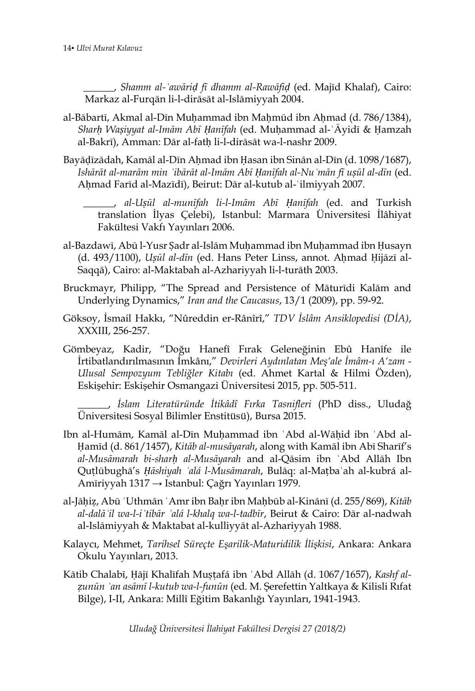\_\_\_\_\_\_, *Shamm al-ʿawāriḍ fī dhamm al-Rawāfiḍ* (ed. Majīd Khalaf), Cairo: Markaz al-Furqān li-l-dirāsāt al-Islāmiyyah 2004.

- al-Bābartī, Akmal al-Dīn Muḥammad ibn Maḥmūd ibn Aḥmad (d. 786/1384), *Sharḥ Waṣiyyat al-Imām Abī Ḥanīfah* (ed. Muḥammad al-ʿĀyidī & Ḥamzah al-Bakrī), Amman: Dār al-fatḥ li-l-dirāsāt wa-l-nashr 2009.
- Bayāḍīzādah, Kamāl al-Dīn Aḥmad ibn Ḥasan ibn Sinān al-Dīn (d. 1098/1687), Ishārāt al-marām min 'ibārāt al-Imām Abī Ḥanīfah al-Nu 'mān fī uṣūl al-dīn (ed. Aḥmad Farīd al-Mazīdī), Beirut: Dār al-kutub al-ʿilmiyyah 2007.

\_\_\_\_\_\_, *al-Uṣūl al-munīfah li-l-Imām Abī Ḥanīfah* (ed. and Turkish translation İlyas Çelebi), Istanbul: Marmara Üniversitesi İlâhiyat Fakültesi Vakfı Yayınları 2006.

- al-Bazdawī, Abū l-Yusr Ṣadr al-Islām Muḥammad ibn Muḥammad ibn Ḥusayn (d. 493/1100), *Uṣūl al-dīn* (ed. Hans Peter Linss, annot. Aḥmad Ḥijāzī al-Saqqā), Cairo: al-Maktabah al-Azhariyyah li-l-turāth 2003.
- Bruckmayr, Philipp, "The Spread and Persistence of Māturīdi Kalām and Underlying Dynamics," *Iran and the Caucasus*, 13/1 (2009), pp. 59-92.
- Göksoy, İsmail Hakkı, "Nûreddin er-Rânîrî," *TDV İslâm Ansiklopedisi (DİA)*, XXXIII, 256-257.
- Gömbeyaz, Kadir, "Doğu Hanefî Fırak Geleneğinin Ebû Hanîfe ile İrtibatlandırılmasının İmkânı," *Devirleri Aydınlatan Meş'ale İmâm-ı A'zam - Ulusal Sempozyum Tebliğler Kitabı* (ed. Ahmet Kartal & Hilmi Özden), Eskişehir: Eskişehir Osmangazi Üniversitesi 2015, pp. 505-511.

\_\_\_\_\_\_, *İslam Literatüründe İtikâdî Fırka Tasnifleri* (PhD diss., Uludağ Üniversitesi Sosyal Bilimler Enstitüsü), Bursa 2015.

- Ibn al-Humām, Kamāl al-Dīn Muḥammad ibn ʿAbd al-Wāḥid ibn ʿAbd al-Ḥamīd (d. 861/1457), *Kitāb al-musāyarah*, along with Kamāl ibn Abī Sharīf's *al-Musāmarah bi-sharḥ al-Musāyarah* and al-Qāsim ibn ʿAbd Allāh Ibn Quṭlūbughā's *Ḥāshiyah ʿalá l-Musāmarah*, Bulāq: al-Maṭbaʿah al-kubrá al-Amīriyyah 1317 → Istanbul: Çağrı Yayınları 1979.
- al-Jāḥiẓ, Abū ʿUthmān ʿAmr ibn Baḥr ibn Maḥbūb al-Kinānī (d. 255/869), *Kitāb al-dalāʾil wa-l-iʿtibār ʿalá l-khalq wa-l-tadbīr*, Beirut & Cairo: Dār al-nadwah al-Islāmiyyah & Maktabat al-kulliyyāt al-Azhariyyah 1988.
- Kalaycı, Mehmet, *Tarihsel Süreçte Eşarilik-Maturidilik İlişkisi*, Ankara: Ankara Okulu Yayınları, 2013.
- Kātib Chalabī, Ḥājī Khalīfah Muṣṭafá ibn ʿAbd Allāh (d. 1067/1657), *Kashf alẓunūn ʿan asāmī l-kutub wa-l-funūn* (ed. M. Şerefettin Yaltkaya & Kilisli Rıfat Bilge), I-II, Ankara: Millî Eğitim Bakanlığı Yayınları, 1941-1943.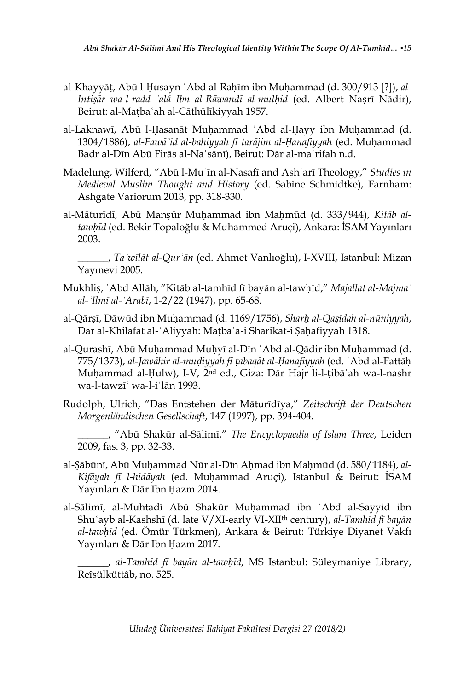- al-Khayyāṭ, Abū l-Ḥusayn ʿAbd al-Raḥīm ibn Muḥammad (d. 300/913 [?]), *al-Intiṣār wa-l-radd ʿalá Ibn al-Rāwandī al-mulḥid* (ed. Albert Naṣrī Nādir), Beirut: al-Maṭbaʿah al-Cāthūlīkiyyah 1957.
- al-Laknawī, Abū l-Ḥasanāt Muḥammad ʿAbd al-Ḥayy ibn Muḥammad (d. 1304/1886), *al-Fawāʾid al-bahiyyah fī tarājim al-Ḥanafiyyah* (ed. Muḥammad Badr al-Dīn Abū Firās al-Naʿsānī), Beirut: Dār al-maʿrifah n.d.
- Madelung, Wilferd, "Abū l-Muʿīn al-Nasafī and Ashʿarī Theology," *Studies in Medieval Muslim Thought and History* (ed. Sabine Schmidtke), Farnham: Ashgate Variorum 2013, pp. 318-330.
- al-Māturīdī, Abū Manṣūr Muḥammad ibn Maḥmūd (d. 333/944), *Kitāb altawḥīd* (ed. Bekir Topaloğlu & Muhammed Aruçi), Ankara: İSAM Yayınları 2003.

\_\_\_\_\_\_, *Taʾwīlāt al-Qurʾān* (ed. Ahmet Vanlıoğlu), I-XVIII, Istanbul: Mizan Yayınevi 2005.

- Mukhliṣ, ʿAbd Allāh, "Kitāb al-tamhīd fī bayān al-tawḥīd," *Majallat al-Majmaʿ al-ʿIlmī al-ʿArabī*, 1-2/22 (1947), pp. 65-68.
- al-Qārṣī, Dāwūd ibn Muḥammad (d. 1169/1756), *Sharḥ al-Qaṣīdah al-nūniyyah*, Dār al-Khilāfat al-ʿAliyyah: Maṭbaʿa-i Sharikat-i Ṣaḥāfiyyah 1318.
- al-Qurashī, Abū Muḥammad Muḥyī al-Dīn ʿAbd al-Qādir ibn Muḥammad (d. 775/1373), *al-Jawāhir al-muḍiyyah fī ṭabaqāt al-Ḥanafiyyah* (ed. ʿAbd al-Fattāḥ Muḥammad al-Ḥulw), I-V, 2nd ed., Giza: Dār Hajr li-l-ṭibāʿah wa-l-nashr wa-l-tawzīʿ wa-l-iʿlān 1993.
- Rudolph, Ulrich, "Das Entstehen der Māturīdīya," *Zeitschrift der Deutschen Morgenländischen Gesellschaft*, 147 (1997), pp. 394-404.
	- \_\_\_\_\_\_, "Abū Shakūr al-Sālimī," *The Encyclopaedia of Islam Three*, Leiden 2009, fas. 3, pp. 32-33.
- al-Ṣābūnī, Abū Muḥammad Nūr al-Dīn Aḥmad ibn Maḥmūd (d. 580/1184), *al-Kifāyah fī l-hidāyah* (ed. Muḥammad Aruçi), Istanbul & Beirut: İSAM Yayınları & Dār Ibn Ḥazm 2014.
- al-Sālimī, al-Muhtadī Abū Shakūr Muḥammad ibn ʿAbd al-Sayyid ibn Shuʿayb al-Kashshī (d. late V/XI-early VI-XIIth century), *al-Tamhīd fī bayān al-tawḥīd* (ed. Ömür Türkmen), Ankara & Beirut: Türkiye Diyanet Vakfı Yayınları & Dār Ibn Ḥazm 2017.

\_\_\_\_\_\_, *al-Tamhīd fī bayān al-tawḥīd*, MS Istanbul: Süleymaniye Library, Reîsülküttâb, no. 525.